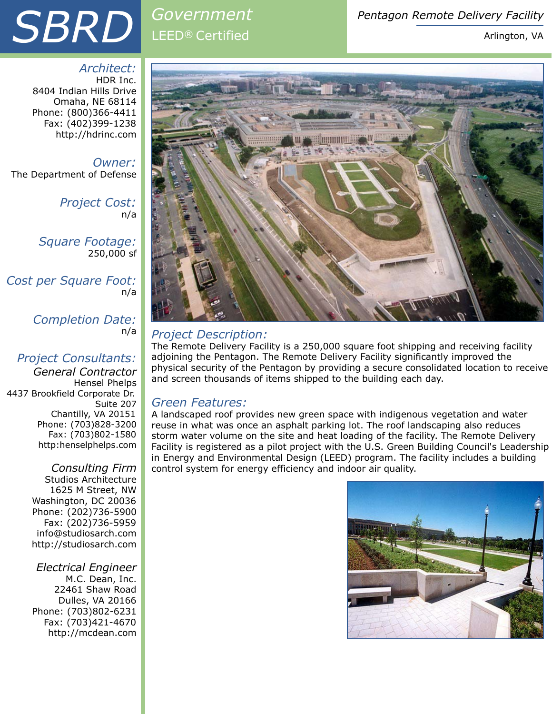# **SBRD** *Government Pentagon Remote Delivery Facility*<br>Arlington, VA

## *Government*  LEED® Certified

Arlington, VA

*Architect:* HDR Inc. 8404 Indian Hills Drive Omaha, NE 68114 Phone: (800)366-4411 Fax: (402)399-1238 http://hdrinc.com

*Owner:*  The Department of Defense

> *Project Cost:*  n/a

*Square Footage:*  250,000 sf

*Cost per Square Foot:*  n/a

> *Completion Date:*  n/a

#### *Project Consultants:*

*General Contractor*  Hensel Phelps 4437 Brookfield Corporate Dr. Suite 207 Chantilly, VA 20151 Phone: (703)828-3200 Fax: (703)802-1580 http:henselphelps.com

> *Consulting Firm*  Studios Architecture 1625 M Street, NW Washington, DC 20036 Phone: (202)736-5900 Fax: (202)736-5959 info@studiosarch.com http://studiosarch.com

*Electrical Engineer*  M.C. Dean, Inc. 22461 Shaw Road Dulles, VA 20166 Phone: (703)802-6231 Fax: (703)421-4670 http://mcdean.com



### *Project Description:*

The Remote Delivery Facility is a 250,000 square foot shipping and receiving facility adjoining the Pentagon. The Remote Delivery Facility significantly improved the physical security of the Pentagon by providing a secure consolidated location to receive and screen thousands of items shipped to the building each day.

#### *Green Features:*

A landscaped roof provides new green space with indigenous vegetation and water reuse in what was once an asphalt parking lot. The roof landscaping also reduces storm water volume on the site and heat loading of the facility. The Remote Delivery Facility is registered as a pilot project with the U.S. Green Building Council's Leadership in Energy and Environmental Design (LEED) program. The facility includes a building control system for energy efficiency and indoor air quality.